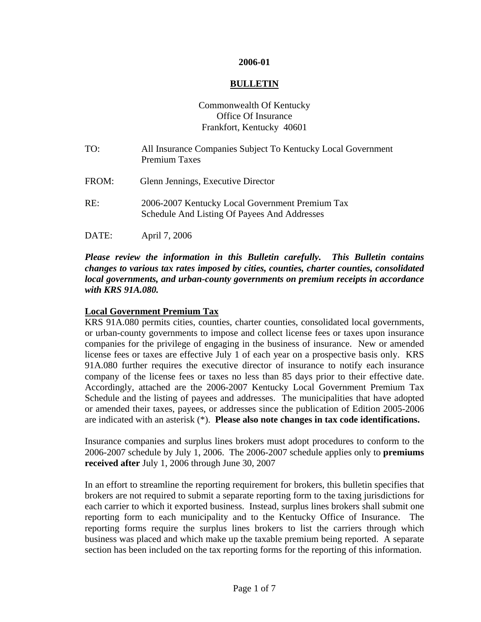#### **2006-01**

#### **BULLETIN**

# Commonwealth Of Kentucky Office Of Insurance Frankfort, Kentucky 40601

TO: All Insurance Companies Subject To Kentucky Local Government Premium Taxes FROM: Glenn Jennings, Executive Director RE: 2006-2007 Kentucky Local Government Premium Tax Schedule And Listing Of Payees And Addresses DATE: April 7, 2006

#### *Please review the information in this Bulletin carefully. This Bulletin contains changes to various tax rates imposed by cities, counties, charter counties, consolidated local governments, and urban-county governments on premium receipts in accordance with KRS 91A.080.*

### **Local Government Premium Tax**

KRS 91A.080 permits cities, counties, charter counties, consolidated local governments, or urban-county governments to impose and collect license fees or taxes upon insurance companies for the privilege of engaging in the business of insurance. New or amended license fees or taxes are effective July 1 of each year on a prospective basis only. KRS 91A.080 further requires the executive director of insurance to notify each insurance company of the license fees or taxes no less than 85 days prior to their effective date. Accordingly, attached are the 2006-2007 Kentucky Local Government Premium Tax Schedule and the listing of payees and addresses. The municipalities that have adopted or amended their taxes, payees, or addresses since the publication of Edition 2005-2006 are indicated with an asterisk (\*). **Please also note changes in tax code identifications.**

Insurance companies and surplus lines brokers must adopt procedures to conform to the 2006-2007 schedule by July 1, 2006. The 2006-2007 schedule applies only to **premiums received after** July 1, 2006 through June 30, 2007

In an effort to streamline the reporting requirement for brokers, this bulletin specifies that brokers are not required to submit a separate reporting form to the taxing jurisdictions for each carrier to which it exported business. Instead, surplus lines brokers shall submit one reporting form to each municipality and to the Kentucky Office of Insurance. The reporting forms require the surplus lines brokers to list the carriers through which business was placed and which make up the taxable premium being reported. A separate section has been included on the tax reporting forms for the reporting of this information.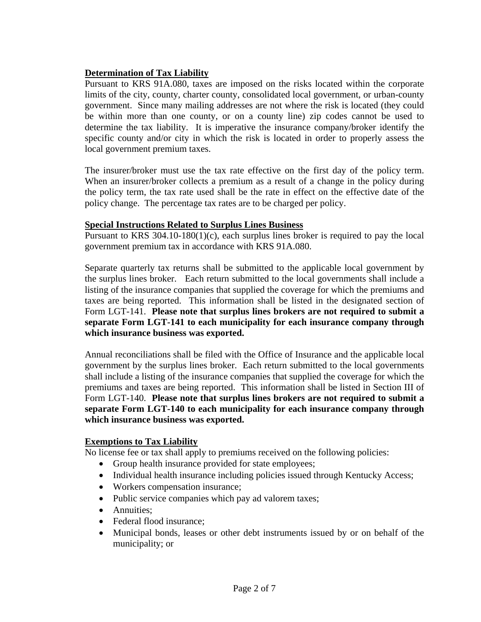# **Determination of Tax Liability**

Pursuant to KRS 91A.080, taxes are imposed on the risks located within the corporate limits of the city, county, charter county, consolidated local government, or urban-county government. Since many mailing addresses are not where the risk is located (they could be within more than one county, or on a county line) zip codes cannot be used to determine the tax liability. It is imperative the insurance company/broker identify the specific county and/or city in which the risk is located in order to properly assess the local government premium taxes.

The insurer/broker must use the tax rate effective on the first day of the policy term. When an insurer/broker collects a premium as a result of a change in the policy during the policy term, the tax rate used shall be the rate in effect on the effective date of the policy change. The percentage tax rates are to be charged per policy.

#### **Special Instructions Related to Surplus Lines Business**

Pursuant to KRS 304.10-180(1)(c), each surplus lines broker is required to pay the local government premium tax in accordance with KRS 91A.080.

Separate quarterly tax returns shall be submitted to the applicable local government by the surplus lines broker. Each return submitted to the local governments shall include a listing of the insurance companies that supplied the coverage for which the premiums and taxes are being reported. This information shall be listed in the designated section of Form LGT-141. **Please note that surplus lines brokers are not required to submit a separate Form LGT-141 to each municipality for each insurance company through which insurance business was exported.**

Annual reconciliations shall be filed with the Office of Insurance and the applicable local government by the surplus lines broker. Each return submitted to the local governments shall include a listing of the insurance companies that supplied the coverage for which the premiums and taxes are being reported. This information shall be listed in Section III of Form LGT-140. **Please note that surplus lines brokers are not required to submit a separate Form LGT-140 to each municipality for each insurance company through which insurance business was exported.**

# **Exemptions to Tax Liability**

No license fee or tax shall apply to premiums received on the following policies:

- Group health insurance provided for state employees;
- Individual health insurance including policies issued through Kentucky Access;
- Workers compensation insurance;
- Public service companies which pay ad valorem taxes;
- Annuities:
- Federal flood insurance:
- Municipal bonds, leases or other debt instruments issued by or on behalf of the municipality; or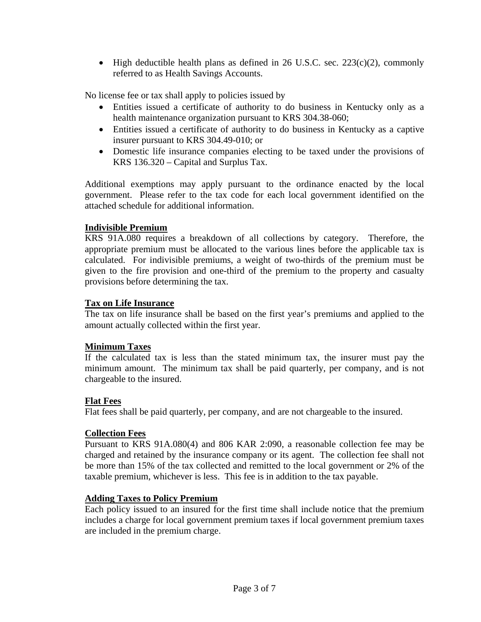• High deductible health plans as defined in 26 U.S.C. sec.  $223(c)(2)$ , commonly referred to as Health Savings Accounts.

No license fee or tax shall apply to policies issued by

- Entities issued a certificate of authority to do business in Kentucky only as a health maintenance organization pursuant to KRS 304.38-060;
- Entities issued a certificate of authority to do business in Kentucky as a captive insurer pursuant to KRS 304.49-010; or
- Domestic life insurance companies electing to be taxed under the provisions of KRS 136.320 – Capital and Surplus Tax.

Additional exemptions may apply pursuant to the ordinance enacted by the local government. Please refer to the tax code for each local government identified on the attached schedule for additional information.

#### **Indivisible Premium**

KRS 91A.080 requires a breakdown of all collections by category. Therefore, the appropriate premium must be allocated to the various lines before the applicable tax is calculated. For indivisible premiums, a weight of two-thirds of the premium must be given to the fire provision and one-third of the premium to the property and casualty provisions before determining the tax.

#### **Tax on Life Insurance**

The tax on life insurance shall be based on the first year's premiums and applied to the amount actually collected within the first year.

#### **Minimum Taxes**

If the calculated tax is less than the stated minimum tax, the insurer must pay the minimum amount. The minimum tax shall be paid quarterly, per company, and is not chargeable to the insured.

#### **Flat Fees**

Flat fees shall be paid quarterly, per company, and are not chargeable to the insured.

# **Collection Fees**

Pursuant to KRS 91A.080(4) and 806 KAR 2:090, a reasonable collection fee may be charged and retained by the insurance company or its agent. The collection fee shall not be more than 15% of the tax collected and remitted to the local government or 2% of the taxable premium, whichever is less. This fee is in addition to the tax payable.

#### **Adding Taxes to Policy Premium**

Each policy issued to an insured for the first time shall include notice that the premium includes a charge for local government premium taxes if local government premium taxes are included in the premium charge.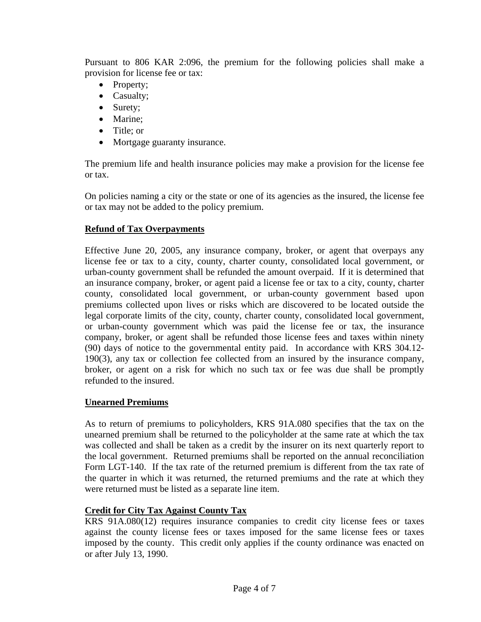Pursuant to 806 KAR 2:096, the premium for the following policies shall make a provision for license fee or tax:

- Property;
- Casualty;
- Surety;
- Marine:
- Title: or
- Mortgage guaranty insurance.

The premium life and health insurance policies may make a provision for the license fee or tax.

On policies naming a city or the state or one of its agencies as the insured, the license fee or tax may not be added to the policy premium.

# **Refund of Tax Overpayments**

Effective June 20, 2005, any insurance company, broker, or agent that overpays any license fee or tax to a city, county, charter county, consolidated local government, or urban-county government shall be refunded the amount overpaid. If it is determined that an insurance company, broker, or agent paid a license fee or tax to a city, county, charter county, consolidated local government, or urban-county government based upon premiums collected upon lives or risks which are discovered to be located outside the legal corporate limits of the city, county, charter county, consolidated local government, or urban-county government which was paid the license fee or tax, the insurance company, broker, or agent shall be refunded those license fees and taxes within ninety (90) days of notice to the governmental entity paid. In accordance with KRS 304.12- 190(3), any tax or collection fee collected from an insured by the insurance company, broker, or agent on a risk for which no such tax or fee was due shall be promptly refunded to the insured.

# **Unearned Premiums**

As to return of premiums to policyholders, KRS 91A.080 specifies that the tax on the unearned premium shall be returned to the policyholder at the same rate at which the tax was collected and shall be taken as a credit by the insurer on its next quarterly report to the local government. Returned premiums shall be reported on the annual reconciliation Form LGT-140. If the tax rate of the returned premium is different from the tax rate of the quarter in which it was returned, the returned premiums and the rate at which they were returned must be listed as a separate line item.

# **Credit for City Tax Against County Tax**

KRS 91A.080(12) requires insurance companies to credit city license fees or taxes against the county license fees or taxes imposed for the same license fees or taxes imposed by the county. This credit only applies if the county ordinance was enacted on or after July 13, 1990.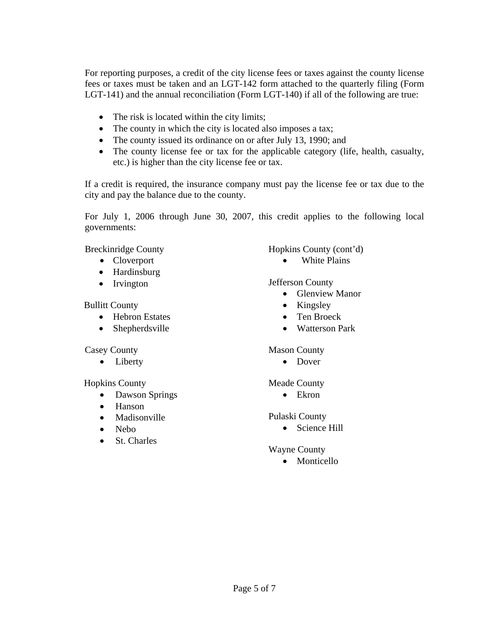For reporting purposes, a credit of the city license fees or taxes against the county license fees or taxes must be taken and an LGT-142 form attached to the quarterly filing (Form LGT-141) and the annual reconciliation (Form LGT-140) if all of the following are true:

- The risk is located within the city limits;
- The county in which the city is located also imposes a tax;
- The county issued its ordinance on or after July 13, 1990; and
- The county license fee or tax for the applicable category (life, health, casualty, etc.) is higher than the city license fee or tax.

If a credit is required, the insurance company must pay the license fee or tax due to the city and pay the balance due to the county.

For July 1, 2006 through June 30, 2007, this credit applies to the following local governments:

Breckinridge County

- Cloverport
- Hardinsburg
- Irvington

Bullitt County

- Hebron Estates
- Shepherdsville

Casey County

• Liberty

Hopkins County

- Dawson Springs
- Hanson
- Madisonville
- Nebo
- St. Charles

Hopkins County (cont'd)

• White Plains

Jefferson County

- Glenview Manor
- Kingsley
- Ten Broeck
- Watterson Park

#### Mason County

• Dover

# Meade County

• Ekron

# Pulaski County

• Science Hill

# Wayne County

• Monticello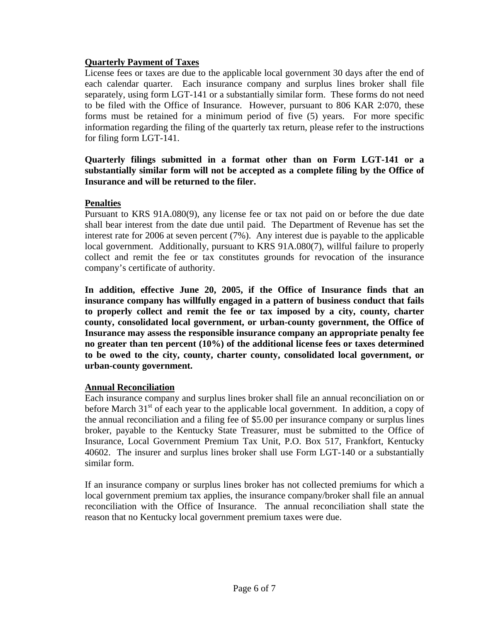# **Quarterly Payment of Taxes**

License fees or taxes are due to the applicable local government 30 days after the end of each calendar quarter. Each insurance company and surplus lines broker shall file separately, using form LGT-141 or a substantially similar form. These forms do not need to be filed with the Office of Insurance. However, pursuant to 806 KAR 2:070, these forms must be retained for a minimum period of five (5) years. For more specific information regarding the filing of the quarterly tax return, please refer to the instructions for filing form LGT-141.

# **Quarterly filings submitted in a format other than on Form LGT-141 or a substantially similar form will not be accepted as a complete filing by the Office of Insurance and will be returned to the filer.**

# **Penalties**

Pursuant to KRS 91A.080(9), any license fee or tax not paid on or before the due date shall bear interest from the date due until paid. The Department of Revenue has set the interest rate for 2006 at seven percent (7%). Any interest due is payable to the applicable local government. Additionally, pursuant to KRS 91A.080(7), willful failure to properly collect and remit the fee or tax constitutes grounds for revocation of the insurance company's certificate of authority.

**In addition, effective June 20, 2005, if the Office of Insurance finds that an insurance company has willfully engaged in a pattern of business conduct that fails to properly collect and remit the fee or tax imposed by a city, county, charter county, consolidated local government, or urban-county government, the Office of Insurance may assess the responsible insurance company an appropriate penalty fee no greater than ten percent (10%) of the additional license fees or taxes determined to be owed to the city, county, charter county, consolidated local government, or urban-county government.** 

# **Annual Reconciliation**

Each insurance company and surplus lines broker shall file an annual reconciliation on or before March  $31<sup>st</sup>$  of each year to the applicable local government. In addition, a copy of the annual reconciliation and a filing fee of \$5.00 per insurance company or surplus lines broker, payable to the Kentucky State Treasurer, must be submitted to the Office of Insurance, Local Government Premium Tax Unit, P.O. Box 517, Frankfort, Kentucky 40602. The insurer and surplus lines broker shall use Form LGT-140 or a substantially similar form.

If an insurance company or surplus lines broker has not collected premiums for which a local government premium tax applies, the insurance company/broker shall file an annual reconciliation with the Office of Insurance. The annual reconciliation shall state the reason that no Kentucky local government premium taxes were due.